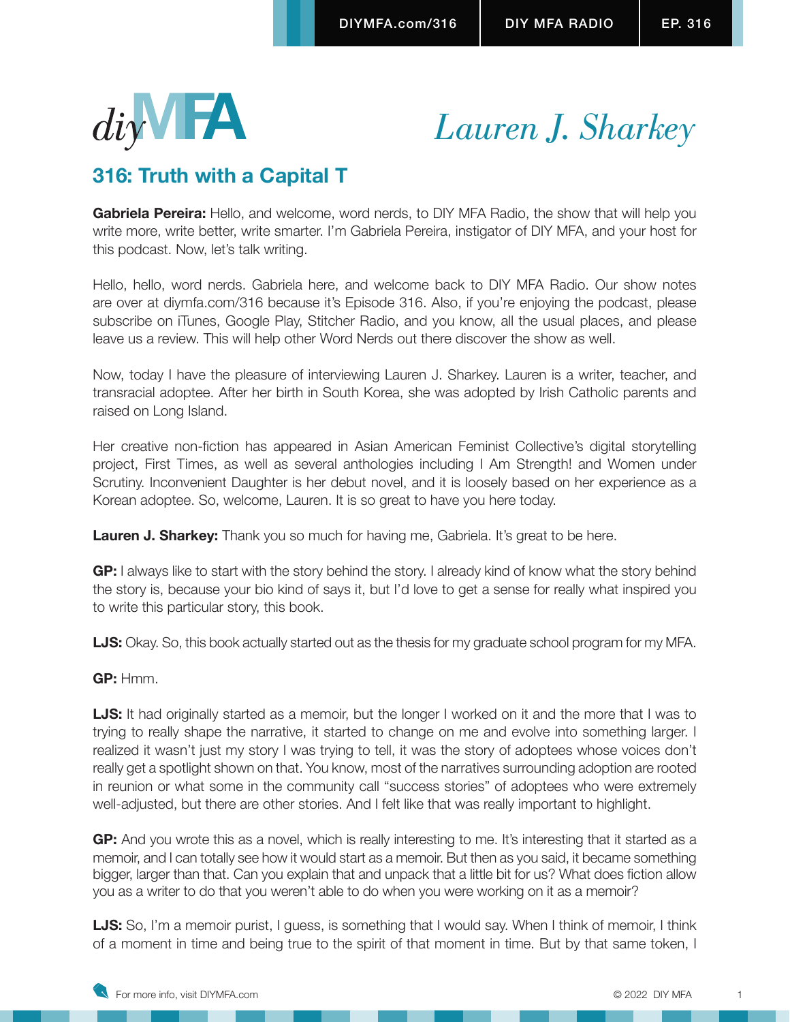

# *Lauren J. Sharkey*

# **316: Truth with a Capital T**

**Gabriela Pereira:** Hello, and welcome, word nerds, to DIY MFA Radio, the show that will help you write more, write better, write smarter. I'm Gabriela Pereira, instigator of DIY MFA, and your host for this podcast. Now, let's talk writing.

Hello, hello, word nerds. Gabriela here, and welcome back to DIY MFA Radio. Our show notes are over at diymfa.com/316 because it's Episode 316. Also, if you're enjoying the podcast, please subscribe on iTunes, Google Play, Stitcher Radio, and you know, all the usual places, and please leave us a review. This will help other Word Nerds out there discover the show as well.

Now, today I have the pleasure of interviewing Lauren J. Sharkey. Lauren is a writer, teacher, and transracial adoptee. After her birth in South Korea, she was adopted by Irish Catholic parents and raised on Long Island.

Her creative non-fiction has appeared in Asian American Feminist Collective's digital storytelling project, First Times, as well as several anthologies including I Am Strength! and Women under Scrutiny. Inconvenient Daughter is her debut novel, and it is loosely based on her experience as a Korean adoptee. So, welcome, Lauren. It is so great to have you here today.

**Lauren J. Sharkey:** Thank you so much for having me, Gabriela. It's great to be here.

**GP:** I always like to start with the story behind the story. I already kind of know what the story behind the story is, because your bio kind of says it, but I'd love to get a sense for really what inspired you to write this particular story, this book.

**LJS:** Okay. So, this book actually started out as the thesis for my graduate school program for my MFA.

# **GP:** Hmm.

**LJS:** It had originally started as a memoir, but the longer I worked on it and the more that I was to trying to really shape the narrative, it started to change on me and evolve into something larger. I realized it wasn't just my story I was trying to tell, it was the story of adoptees whose voices don't really get a spotlight shown on that. You know, most of the narratives surrounding adoption are rooted in reunion or what some in the community call "success stories" of adoptees who were extremely well-adjusted, but there are other stories. And I felt like that was really important to highlight.

**GP:** And you wrote this as a novel, which is really interesting to me. It's interesting that it started as a memoir, and I can totally see how it would start as a memoir. But then as you said, it became something bigger, larger than that. Can you explain that and unpack that a little bit for us? What does fiction allow you as a writer to do that you weren't able to do when you were working on it as a memoir?

**LJS:** So, I'm a memoir purist, I guess, is something that I would say. When I think of memoir, I think of a moment in time and being true to the spirit of that moment in time. But by that same token, I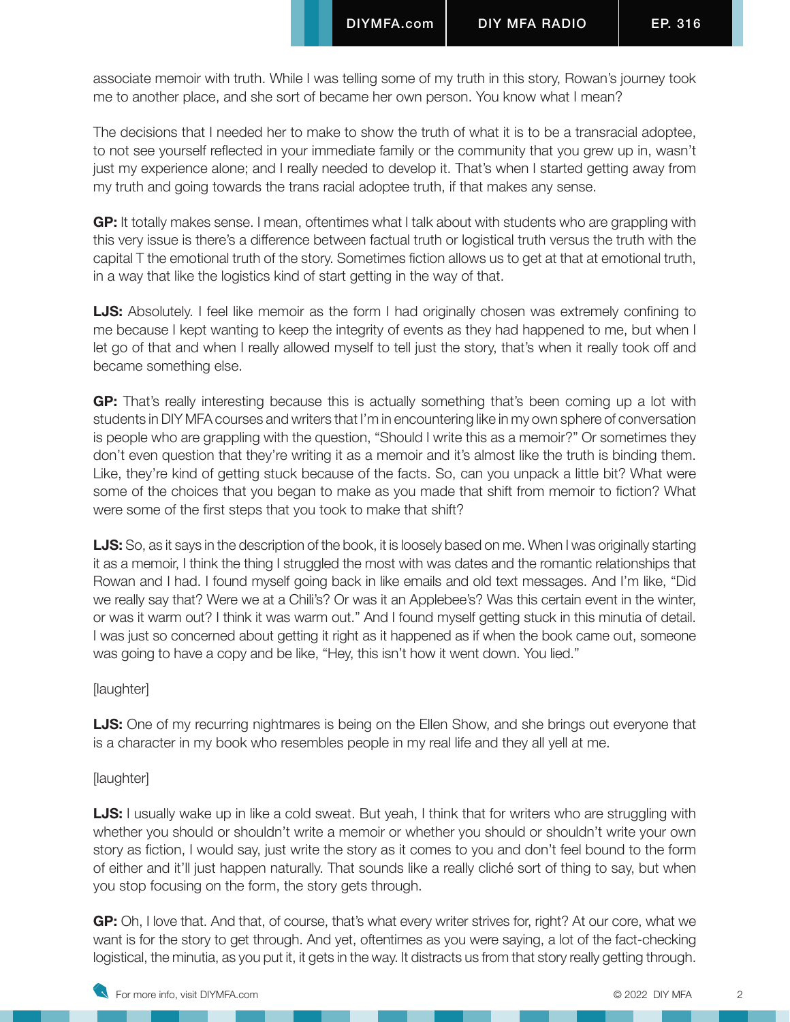associate memoir with truth. While I was telling some of my truth in this story, Rowan's journey took me to another place, and she sort of became her own person. You know what I mean?

The decisions that I needed her to make to show the truth of what it is to be a transracial adoptee, to not see yourself reflected in your immediate family or the community that you grew up in, wasn't just my experience alone; and I really needed to develop it. That's when I started getting away from my truth and going towards the trans racial adoptee truth, if that makes any sense.

**GP:** It totally makes sense. I mean, oftentimes what I talk about with students who are grappling with this very issue is there's a difference between factual truth or logistical truth versus the truth with the capital T the emotional truth of the story. Sometimes fiction allows us to get at that at emotional truth, in a way that like the logistics kind of start getting in the way of that.

**LJS:** Absolutely. I feel like memoir as the form I had originally chosen was extremely confining to me because I kept wanting to keep the integrity of events as they had happened to me, but when I let go of that and when I really allowed myself to tell just the story, that's when it really took off and became something else.

**GP:** That's really interesting because this is actually something that's been coming up a lot with students in DIY MFA courses and writers that I'm in encountering like in my own sphere of conversation is people who are grappling with the question, "Should I write this as a memoir?" Or sometimes they don't even question that they're writing it as a memoir and it's almost like the truth is binding them. Like, they're kind of getting stuck because of the facts. So, can you unpack a little bit? What were some of the choices that you began to make as you made that shift from memoir to fiction? What were some of the first steps that you took to make that shift?

**LJS:** So, as it says in the description of the book, it is loosely based on me. When I was originally starting it as a memoir, I think the thing I struggled the most with was dates and the romantic relationships that Rowan and I had. I found myself going back in like emails and old text messages. And I'm like, "Did we really say that? Were we at a Chili's? Or was it an Applebee's? Was this certain event in the winter, or was it warm out? I think it was warm out." And I found myself getting stuck in this minutia of detail. I was just so concerned about getting it right as it happened as if when the book came out, someone was going to have a copy and be like, "Hey, this isn't how it went down. You lied."

[laughter]

**LJS:** One of my recurring nightmares is being on the Ellen Show, and she brings out everyone that is a character in my book who resembles people in my real life and they all yell at me.

[laughter]

**LJS:** I usually wake up in like a cold sweat. But yeah, I think that for writers who are struggling with whether you should or shouldn't write a memoir or whether you should or shouldn't write your own story as fiction, I would say, just write the story as it comes to you and don't feel bound to the form of either and it'll just happen naturally. That sounds like a really cliché sort of thing to say, but when you stop focusing on the form, the story gets through.

**GP:** Oh, I love that. And that, of course, that's what every writer strives for, right? At our core, what we want is for the story to get through. And yet, oftentimes as you were saying, a lot of the fact-checking logistical, the minutia, as you put it, it gets in the way. It distracts us from that story really getting through.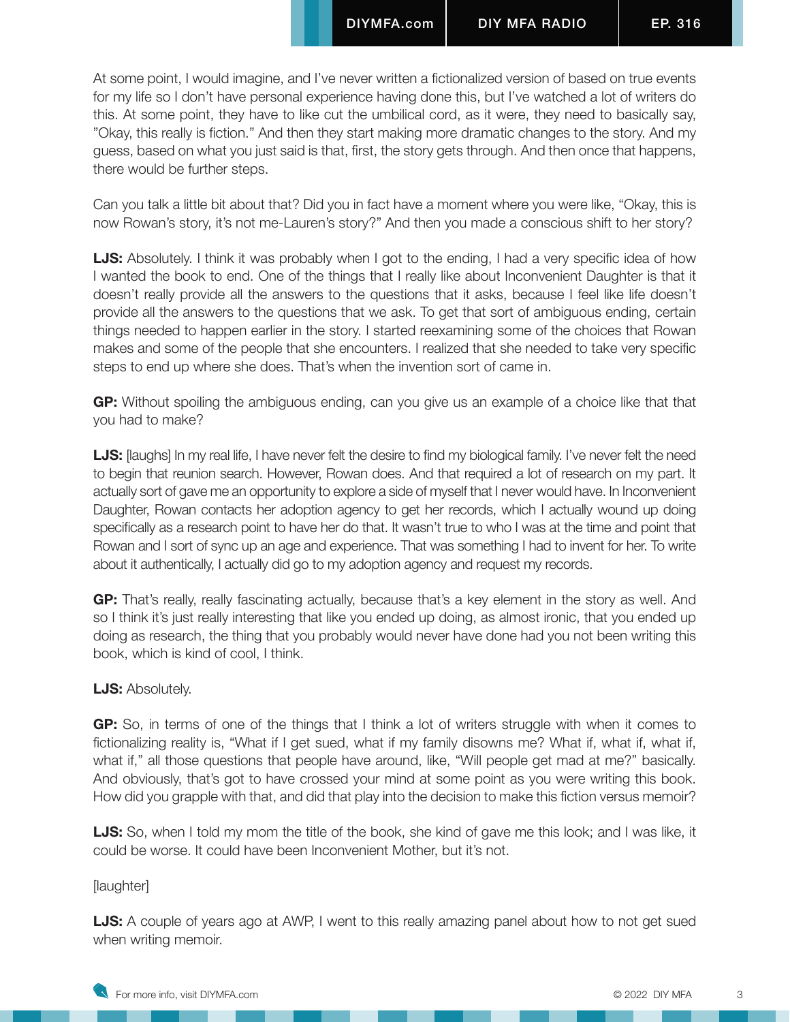At some point, I would imagine, and I've never written a fictionalized version of based on true events for my life so I don't have personal experience having done this, but I've watched a lot of writers do this. At some point, they have to like cut the umbilical cord, as it were, they need to basically say, "Okay, this really is fiction." And then they start making more dramatic changes to the story. And my guess, based on what you just said is that, first, the story gets through. And then once that happens, there would be further steps.

Can you talk a little bit about that? Did you in fact have a moment where you were like, "Okay, this is now Rowan's story, it's not me-Lauren's story?" And then you made a conscious shift to her story?

**LJS:** Absolutely. I think it was probably when I got to the ending, I had a very specific idea of how I wanted the book to end. One of the things that I really like about Inconvenient Daughter is that it doesn't really provide all the answers to the questions that it asks, because I feel like life doesn't provide all the answers to the questions that we ask. To get that sort of ambiguous ending, certain things needed to happen earlier in the story. I started reexamining some of the choices that Rowan makes and some of the people that she encounters. I realized that she needed to take very specific steps to end up where she does. That's when the invention sort of came in.

**GP:** Without spoiling the ambiguous ending, can you give us an example of a choice like that that you had to make?

**LJS:** [laughs] In my real life, I have never felt the desire to find my biological family. I've never felt the need to begin that reunion search. However, Rowan does. And that required a lot of research on my part. It actually sort of gave me an opportunity to explore a side of myself that I never would have. In Inconvenient Daughter, Rowan contacts her adoption agency to get her records, which I actually wound up doing specifically as a research point to have her do that. It wasn't true to who I was at the time and point that Rowan and I sort of sync up an age and experience. That was something I had to invent for her. To write about it authentically, I actually did go to my adoption agency and request my records.

**GP:** That's really, really fascinating actually, because that's a key element in the story as well. And so I think it's just really interesting that like you ended up doing, as almost ironic, that you ended up doing as research, the thing that you probably would never have done had you not been writing this book, which is kind of cool, I think.

# **LJS:** Absolutely.

**GP:** So, in terms of one of the things that I think a lot of writers struggle with when it comes to fictionalizing reality is, "What if I get sued, what if my family disowns me? What if, what if, what if, what if," all those questions that people have around, like, "Will people get mad at me?" basically. And obviously, that's got to have crossed your mind at some point as you were writing this book. How did you grapple with that, and did that play into the decision to make this fiction versus memoir?

**LJS:** So, when I told my mom the title of the book, she kind of gave me this look; and I was like, it could be worse. It could have been Inconvenient Mother, but it's not.

#### [laughter]

**LJS:** A couple of years ago at AWP, I went to this really amazing panel about how to not get sued when writing memoir.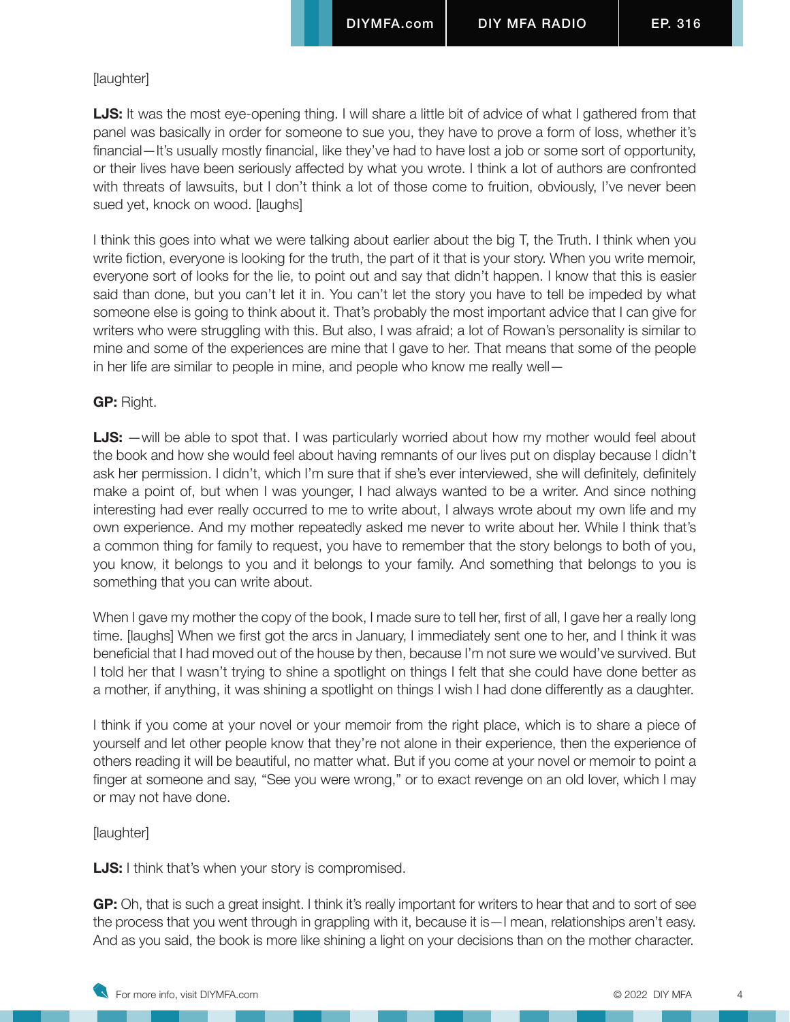#### [laughter]

**LJS:** It was the most eye-opening thing. I will share a little bit of advice of what I gathered from that panel was basically in order for someone to sue you, they have to prove a form of loss, whether it's financial—It's usually mostly financial, like they've had to have lost a job or some sort of opportunity, or their lives have been seriously affected by what you wrote. I think a lot of authors are confronted with threats of lawsuits, but I don't think a lot of those come to fruition, obviously, I've never been sued yet, knock on wood. [laughs]

I think this goes into what we were talking about earlier about the big T, the Truth. I think when you write fiction, everyone is looking for the truth, the part of it that is your story. When you write memoir, everyone sort of looks for the lie, to point out and say that didn't happen. I know that this is easier said than done, but you can't let it in. You can't let the story you have to tell be impeded by what someone else is going to think about it. That's probably the most important advice that I can give for writers who were struggling with this. But also, I was afraid; a lot of Rowan's personality is similar to mine and some of the experiences are mine that I gave to her. That means that some of the people in her life are similar to people in mine, and people who know me really well—

#### **GP:** Right.

**LJS:** —will be able to spot that. I was particularly worried about how my mother would feel about the book and how she would feel about having remnants of our lives put on display because I didn't ask her permission. I didn't, which I'm sure that if she's ever interviewed, she will definitely, definitely make a point of, but when I was younger, I had always wanted to be a writer. And since nothing interesting had ever really occurred to me to write about, I always wrote about my own life and my own experience. And my mother repeatedly asked me never to write about her. While I think that's a common thing for family to request, you have to remember that the story belongs to both of you, you know, it belongs to you and it belongs to your family. And something that belongs to you is something that you can write about.

When I gave my mother the copy of the book, I made sure to tell her, first of all, I gave her a really long time. [laughs] When we first got the arcs in January, I immediately sent one to her, and I think it was beneficial that I had moved out of the house by then, because I'm not sure we would've survived. But I told her that I wasn't trying to shine a spotlight on things I felt that she could have done better as a mother, if anything, it was shining a spotlight on things I wish I had done differently as a daughter.

I think if you come at your novel or your memoir from the right place, which is to share a piece of yourself and let other people know that they're not alone in their experience, then the experience of others reading it will be beautiful, no matter what. But if you come at your novel or memoir to point a finger at someone and say, "See you were wrong," or to exact revenge on an old lover, which I may or may not have done.

[laughter]

**LJS:** I think that's when your story is compromised.

**GP:** Oh, that is such a great insight. I think it's really important for writers to hear that and to sort of see the process that you went through in grappling with it, because it is—I mean, relationships aren't easy. And as you said, the book is more like shining a light on your decisions than on the mother character.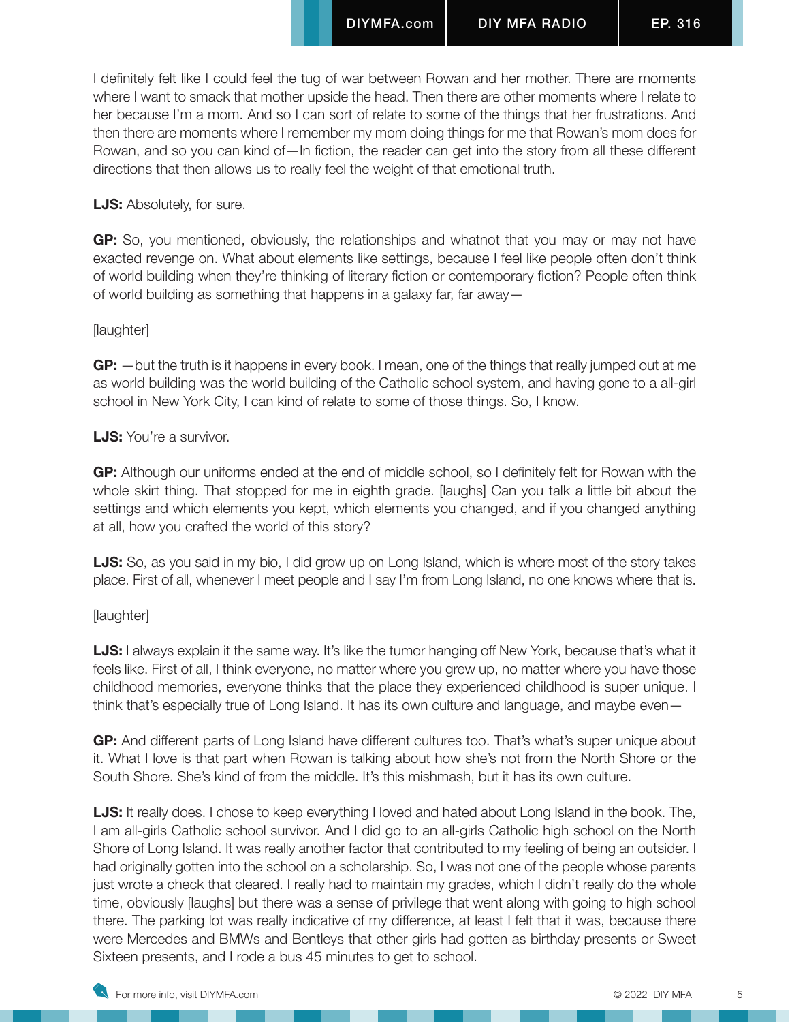I definitely felt like I could feel the tug of war between Rowan and her mother. There are moments where I want to smack that mother upside the head. Then there are other moments where I relate to her because I'm a mom. And so I can sort of relate to some of the things that her frustrations. And then there are moments where I remember my mom doing things for me that Rowan's mom does for Rowan, and so you can kind of—In fiction, the reader can get into the story from all these different directions that then allows us to really feel the weight of that emotional truth.

# **LJS:** Absolutely, for sure.

**GP:** So, you mentioned, obviously, the relationships and whatnot that you may or may not have exacted revenge on. What about elements like settings, because I feel like people often don't think of world building when they're thinking of literary fiction or contemporary fiction? People often think of world building as something that happens in a galaxy far, far away—

#### [laughter]

**GP:** —but the truth is it happens in every book. I mean, one of the things that really jumped out at me as world building was the world building of the Catholic school system, and having gone to a all-girl school in New York City, I can kind of relate to some of those things. So, I know.

#### **LJS:** You're a survivor.

**GP:** Although our uniforms ended at the end of middle school, so I definitely felt for Rowan with the whole skirt thing. That stopped for me in eighth grade. [laughs] Can you talk a little bit about the settings and which elements you kept, which elements you changed, and if you changed anything at all, how you crafted the world of this story?

**LJS:** So, as you said in my bio, I did grow up on Long Island, which is where most of the story takes place. First of all, whenever I meet people and I say I'm from Long Island, no one knows where that is.

# [laughter]

**LJS:** I always explain it the same way. It's like the tumor hanging off New York, because that's what it feels like. First of all, I think everyone, no matter where you grew up, no matter where you have those childhood memories, everyone thinks that the place they experienced childhood is super unique. I think that's especially true of Long Island. It has its own culture and language, and maybe even—

**GP:** And different parts of Long Island have different cultures too. That's what's super unique about it. What I love is that part when Rowan is talking about how she's not from the North Shore or the South Shore. She's kind of from the middle. It's this mishmash, but it has its own culture.

**LJS:** It really does. I chose to keep everything I loved and hated about Long Island in the book. The, I am all-girls Catholic school survivor. And I did go to an all-girls Catholic high school on the North Shore of Long Island. It was really another factor that contributed to my feeling of being an outsider. I had originally gotten into the school on a scholarship. So, I was not one of the people whose parents just wrote a check that cleared. I really had to maintain my grades, which I didn't really do the whole time, obviously [laughs] but there was a sense of privilege that went along with going to high school there. The parking lot was really indicative of my difference, at least I felt that it was, because there were Mercedes and BMWs and Bentleys that other girls had gotten as birthday presents or Sweet Sixteen presents, and I rode a bus 45 minutes to get to school.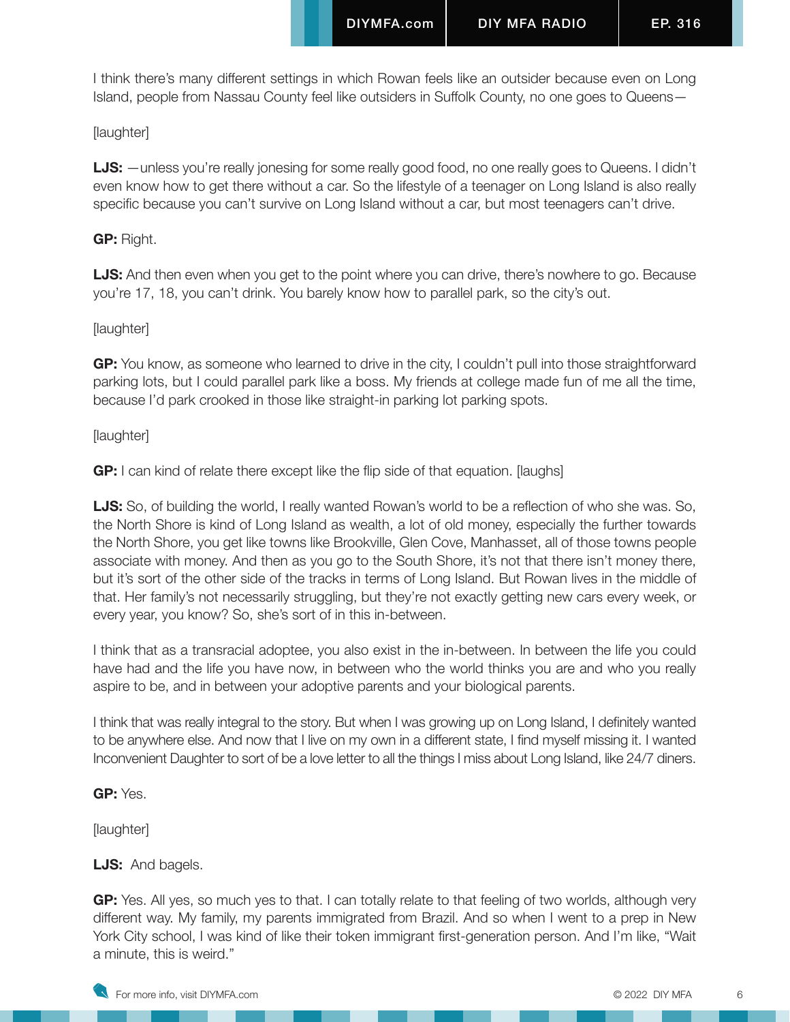I think there's many different settings in which Rowan feels like an outsider because even on Long Island, people from Nassau County feel like outsiders in Suffolk County, no one goes to Queens—

# [laughter]

**LJS:** —unless you're really jonesing for some really good food, no one really goes to Queens. I didn't even know how to get there without a car. So the lifestyle of a teenager on Long Island is also really specific because you can't survive on Long Island without a car, but most teenagers can't drive.

# **GP:** Right.

**LJS:** And then even when you get to the point where you can drive, there's nowhere to go. Because you're 17, 18, you can't drink. You barely know how to parallel park, so the city's out.

# [laughter]

**GP:** You know, as someone who learned to drive in the city, I couldn't pull into those straightforward parking lots, but I could parallel park like a boss. My friends at college made fun of me all the time, because I'd park crooked in those like straight-in parking lot parking spots.

# [laughter]

**GP:** I can kind of relate there except like the flip side of that equation. [laughs]

**LJS:** So, of building the world, I really wanted Rowan's world to be a reflection of who she was. So, the North Shore is kind of Long Island as wealth, a lot of old money, especially the further towards the North Shore, you get like towns like Brookville, Glen Cove, Manhasset, all of those towns people associate with money. And then as you go to the South Shore, it's not that there isn't money there, but it's sort of the other side of the tracks in terms of Long Island. But Rowan lives in the middle of that. Her family's not necessarily struggling, but they're not exactly getting new cars every week, or every year, you know? So, she's sort of in this in-between.

I think that as a transracial adoptee, you also exist in the in-between. In between the life you could have had and the life you have now, in between who the world thinks you are and who you really aspire to be, and in between your adoptive parents and your biological parents.

I think that was really integral to the story. But when I was growing up on Long Island, I definitely wanted to be anywhere else. And now that I live on my own in a different state, I find myself missing it. I wanted Inconvenient Daughter to sort of be a love letter to all the things I miss about Long Island, like 24/7 diners.

**GP:** Yes.

[laughter]

# **LJS:** And bagels.

**GP:** Yes. All yes, so much yes to that. I can totally relate to that feeling of two worlds, although very different way. My family, my parents immigrated from Brazil. And so when I went to a prep in New York City school, I was kind of like their token immigrant first-generation person. And I'm like, "Wait a minute, this is weird."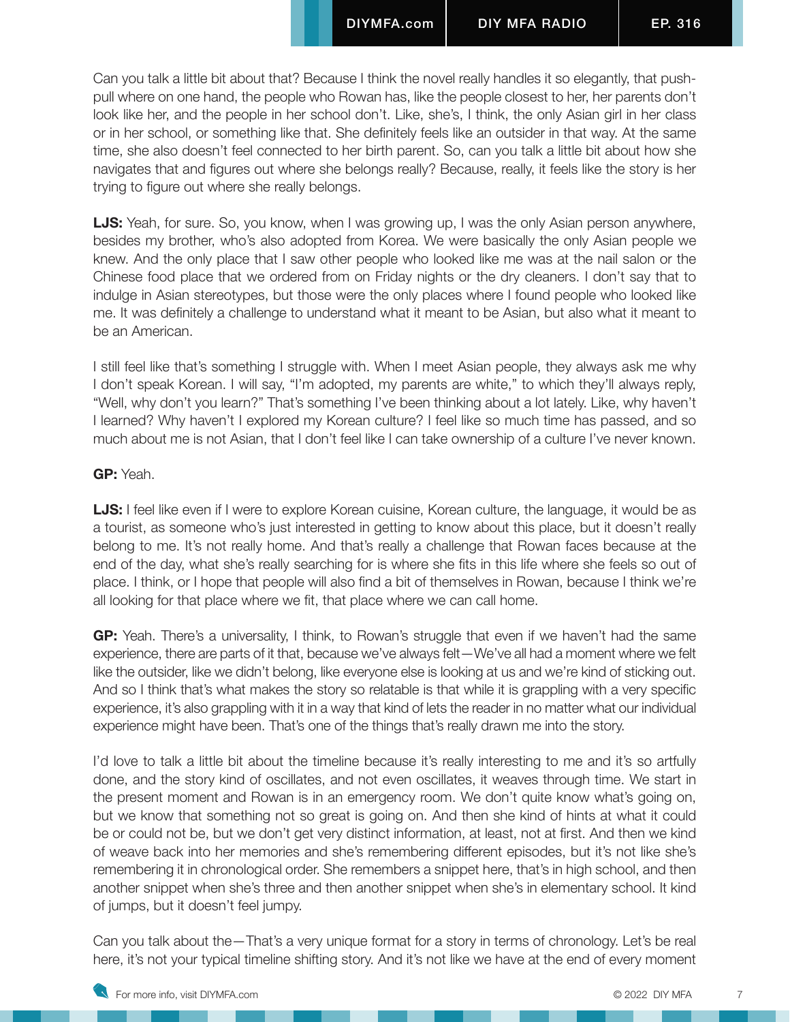Can you talk a little bit about that? Because I think the novel really handles it so elegantly, that pushpull where on one hand, the people who Rowan has, like the people closest to her, her parents don't look like her, and the people in her school don't. Like, she's, I think, the only Asian girl in her class or in her school, or something like that. She definitely feels like an outsider in that way. At the same time, she also doesn't feel connected to her birth parent. So, can you talk a little bit about how she navigates that and figures out where she belongs really? Because, really, it feels like the story is her trying to figure out where she really belongs.

**LJS:** Yeah, for sure. So, you know, when I was growing up, I was the only Asian person anywhere, besides my brother, who's also adopted from Korea. We were basically the only Asian people we knew. And the only place that I saw other people who looked like me was at the nail salon or the Chinese food place that we ordered from on Friday nights or the dry cleaners. I don't say that to indulge in Asian stereotypes, but those were the only places where I found people who looked like me. It was definitely a challenge to understand what it meant to be Asian, but also what it meant to be an American.

I still feel like that's something I struggle with. When I meet Asian people, they always ask me why I don't speak Korean. I will say, "I'm adopted, my parents are white," to which they'll always reply, "Well, why don't you learn?" That's something I've been thinking about a lot lately. Like, why haven't I learned? Why haven't I explored my Korean culture? I feel like so much time has passed, and so much about me is not Asian, that I don't feel like I can take ownership of a culture I've never known.

# **GP:** Yeah.

**LJS:** I feel like even if I were to explore Korean cuisine, Korean culture, the language, it would be as a tourist, as someone who's just interested in getting to know about this place, but it doesn't really belong to me. It's not really home. And that's really a challenge that Rowan faces because at the end of the day, what she's really searching for is where she fits in this life where she feels so out of place. I think, or I hope that people will also find a bit of themselves in Rowan, because I think we're all looking for that place where we fit, that place where we can call home.

**GP:** Yeah. There's a universality, I think, to Rowan's struggle that even if we haven't had the same experience, there are parts of it that, because we've always felt—We've all had a moment where we felt like the outsider, like we didn't belong, like everyone else is looking at us and we're kind of sticking out. And so I think that's what makes the story so relatable is that while it is grappling with a very specific experience, it's also grappling with it in a way that kind of lets the reader in no matter what our individual experience might have been. That's one of the things that's really drawn me into the story.

I'd love to talk a little bit about the timeline because it's really interesting to me and it's so artfully done, and the story kind of oscillates, and not even oscillates, it weaves through time. We start in the present moment and Rowan is in an emergency room. We don't quite know what's going on, but we know that something not so great is going on. And then she kind of hints at what it could be or could not be, but we don't get very distinct information, at least, not at first. And then we kind of weave back into her memories and she's remembering different episodes, but it's not like she's remembering it in chronological order. She remembers a snippet here, that's in high school, and then another snippet when she's three and then another snippet when she's in elementary school. It kind of jumps, but it doesn't feel jumpy.

Can you talk about the—That's a very unique format for a story in terms of chronology. Let's be real here, it's not your typical timeline shifting story. And it's not like we have at the end of every moment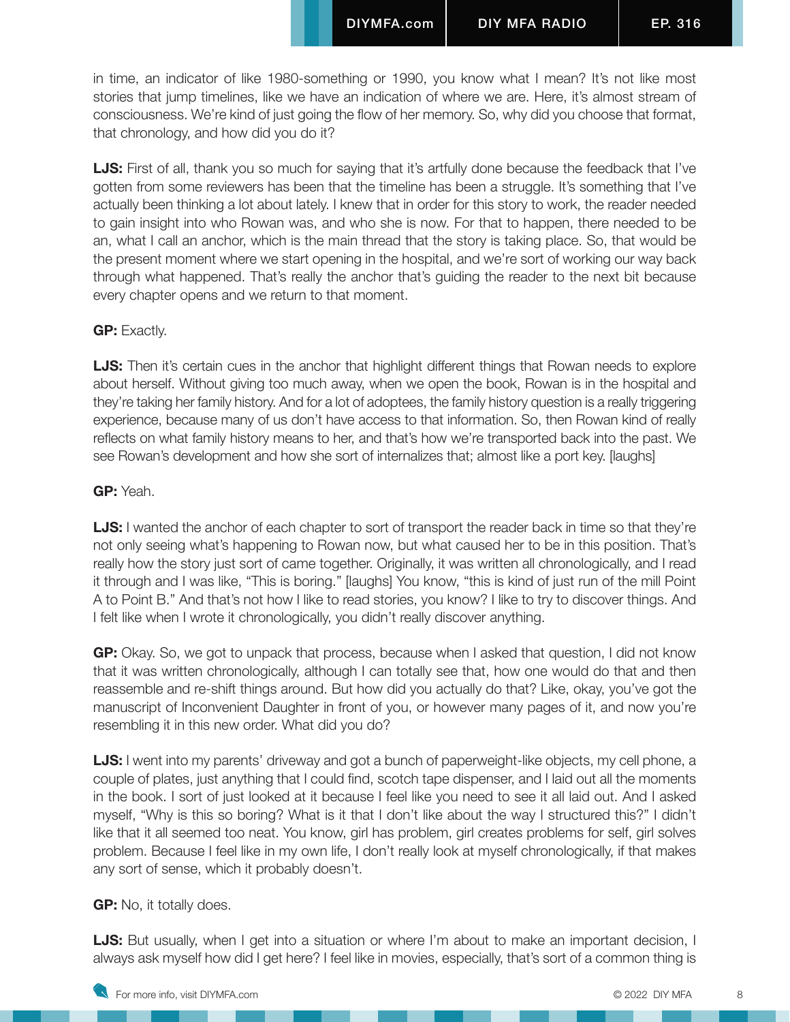in time, an indicator of like 1980-something or 1990, you know what I mean? It's not like most stories that jump timelines, like we have an indication of where we are. Here, it's almost stream of consciousness. We're kind of just going the flow of her memory. So, why did you choose that format, that chronology, and how did you do it?

**LJS:** First of all, thank you so much for saying that it's artfully done because the feedback that I've gotten from some reviewers has been that the timeline has been a struggle. It's something that I've actually been thinking a lot about lately. I knew that in order for this story to work, the reader needed to gain insight into who Rowan was, and who she is now. For that to happen, there needed to be an, what I call an anchor, which is the main thread that the story is taking place. So, that would be the present moment where we start opening in the hospital, and we're sort of working our way back through what happened. That's really the anchor that's guiding the reader to the next bit because every chapter opens and we return to that moment.

#### **GP:** Exactly.

**LJS:** Then it's certain cues in the anchor that highlight different things that Rowan needs to explore about herself. Without giving too much away, when we open the book, Rowan is in the hospital and they're taking her family history. And for a lot of adoptees, the family history question is a really triggering experience, because many of us don't have access to that information. So, then Rowan kind of really reflects on what family history means to her, and that's how we're transported back into the past. We see Rowan's development and how she sort of internalizes that; almost like a port key. [laughs]

#### **GP:** Yeah.

**LJS:** I wanted the anchor of each chapter to sort of transport the reader back in time so that they're not only seeing what's happening to Rowan now, but what caused her to be in this position. That's really how the story just sort of came together. Originally, it was written all chronologically, and I read it through and I was like, "This is boring." [laughs] You know, "this is kind of just run of the mill Point A to Point B." And that's not how I like to read stories, you know? I like to try to discover things. And I felt like when I wrote it chronologically, you didn't really discover anything.

**GP:** Okay. So, we got to unpack that process, because when I asked that question, I did not know that it was written chronologically, although I can totally see that, how one would do that and then reassemble and re-shift things around. But how did you actually do that? Like, okay, you've got the manuscript of Inconvenient Daughter in front of you, or however many pages of it, and now you're resembling it in this new order. What did you do?

**LJS:** I went into my parents' driveway and got a bunch of paperweight-like objects, my cell phone, a couple of plates, just anything that I could find, scotch tape dispenser, and I laid out all the moments in the book. I sort of just looked at it because I feel like you need to see it all laid out. And I asked myself, "Why is this so boring? What is it that I don't like about the way I structured this?" I didn't like that it all seemed too neat. You know, girl has problem, girl creates problems for self, girl solves problem. Because I feel like in my own life, I don't really look at myself chronologically, if that makes any sort of sense, which it probably doesn't.

#### **GP:** No, it totally does.

**LJS:** But usually, when I get into a situation or where I'm about to make an important decision, I always ask myself how did I get here? I feel like in movies, especially, that's sort of a common thing is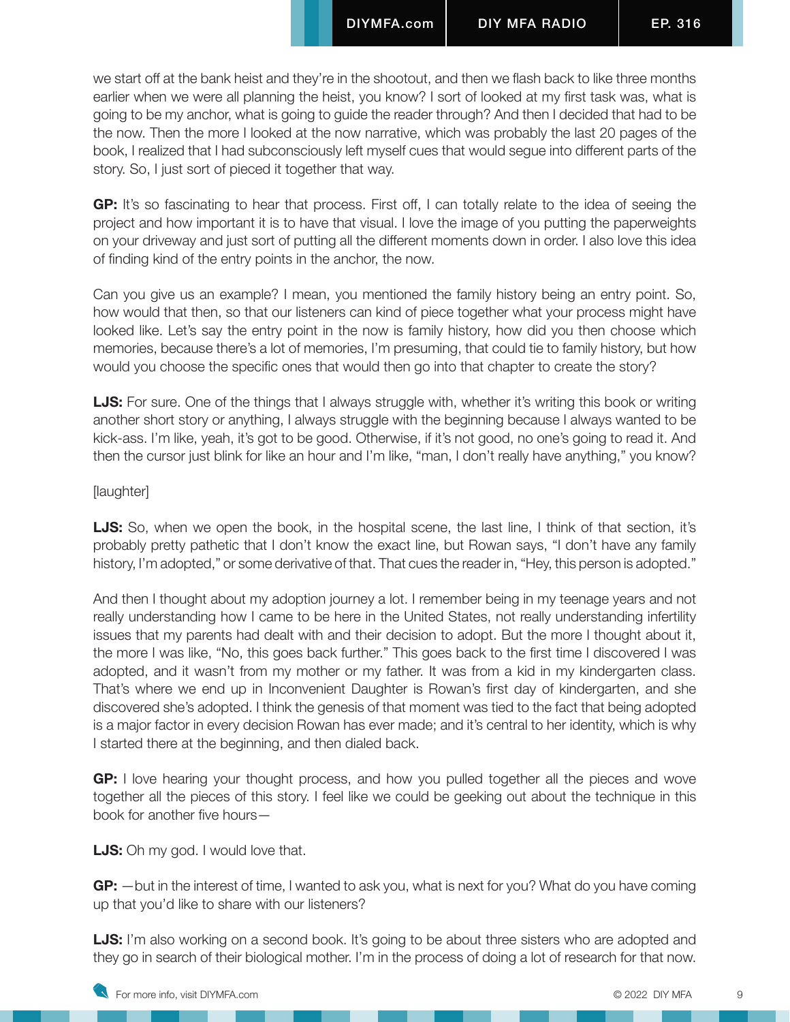we start off at the bank heist and they're in the shootout, and then we flash back to like three months earlier when we were all planning the heist, you know? I sort of looked at my first task was, what is going to be my anchor, what is going to guide the reader through? And then I decided that had to be the now. Then the more I looked at the now narrative, which was probably the last 20 pages of the book, I realized that I had subconsciously left myself cues that would segue into different parts of the story. So, I just sort of pieced it together that way.

**GP:** It's so fascinating to hear that process. First off, I can totally relate to the idea of seeing the project and how important it is to have that visual. I love the image of you putting the paperweights on your driveway and just sort of putting all the different moments down in order. I also love this idea of finding kind of the entry points in the anchor, the now.

Can you give us an example? I mean, you mentioned the family history being an entry point. So, how would that then, so that our listeners can kind of piece together what your process might have looked like. Let's say the entry point in the now is family history, how did you then choose which memories, because there's a lot of memories, I'm presuming, that could tie to family history, but how would you choose the specific ones that would then go into that chapter to create the story?

**LJS:** For sure. One of the things that I always struggle with, whether it's writing this book or writing another short story or anything, I always struggle with the beginning because I always wanted to be kick-ass. I'm like, yeah, it's got to be good. Otherwise, if it's not good, no one's going to read it. And then the cursor just blink for like an hour and I'm like, "man, I don't really have anything," you know?

#### [laughter]

**LJS:** So, when we open the book, in the hospital scene, the last line, I think of that section, it's probably pretty pathetic that I don't know the exact line, but Rowan says, "I don't have any family history, I'm adopted," or some derivative of that. That cues the reader in, "Hey, this person is adopted."

And then I thought about my adoption journey a lot. I remember being in my teenage years and not really understanding how I came to be here in the United States, not really understanding infertility issues that my parents had dealt with and their decision to adopt. But the more I thought about it, the more I was like, "No, this goes back further." This goes back to the first time I discovered I was adopted, and it wasn't from my mother or my father. It was from a kid in my kindergarten class. That's where we end up in Inconvenient Daughter is Rowan's first day of kindergarten, and she discovered she's adopted. I think the genesis of that moment was tied to the fact that being adopted is a major factor in every decision Rowan has ever made; and it's central to her identity, which is why I started there at the beginning, and then dialed back.

**GP:** I love hearing your thought process, and how you pulled together all the pieces and wove together all the pieces of this story. I feel like we could be geeking out about the technique in this book for another five hours—

**LJS:** Oh my god. I would love that.

**GP:** —but in the interest of time, I wanted to ask you, what is next for you? What do you have coming up that you'd like to share with our listeners?

**LJS:** I'm also working on a second book. It's going to be about three sisters who are adopted and they go in search of their biological mother. I'm in the process of doing a lot of research for that now.